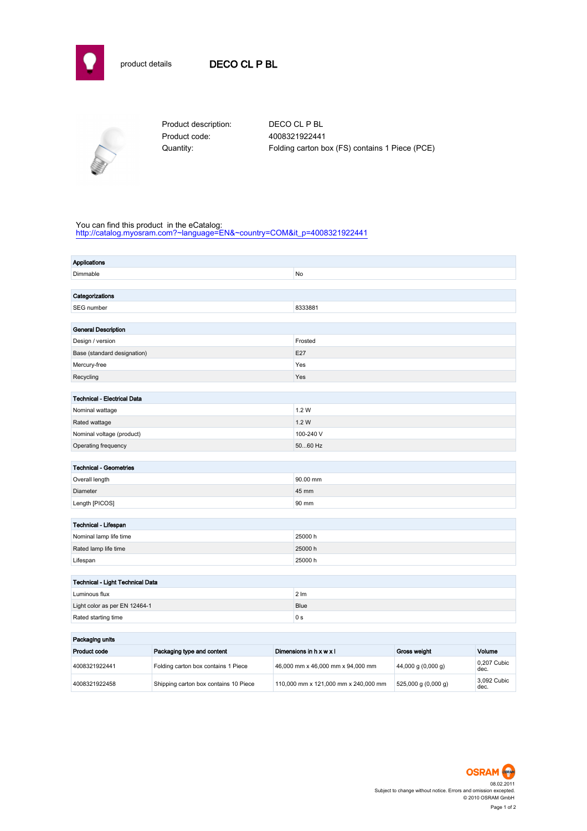



Product code: 4008321922441

Product description: DECO CL P BL Quantity: Folding carton box (FS) contains 1 Piece (PCE)

## You can find this product in the eCatalog:

[http://catalog.myosram.com?~language=EN&~country=COM&it\\_p=4008321922441](http://catalog.myosram.com?~language=EN&~country=COM&it_p=4008321922441)

| Applications                       |                  |  |  |
|------------------------------------|------------------|--|--|
| Dimmable                           | No               |  |  |
|                                    |                  |  |  |
| Categorizations                    |                  |  |  |
| SEG number                         | 8333881          |  |  |
|                                    |                  |  |  |
| <b>General Description</b>         |                  |  |  |
| Design / version                   | Frosted          |  |  |
| Base (standard designation)        | E27              |  |  |
| Mercury-free                       | Yes              |  |  |
| Recycling                          | Yes              |  |  |
|                                    |                  |  |  |
| <b>Technical - Electrical Data</b> |                  |  |  |
| Nominal wattage                    | 1.2W             |  |  |
| Rated wattage                      | 1.2 W            |  |  |
| Nominal voltage (product)          | 100-240 V        |  |  |
| Operating frequency                | 5060 Hz          |  |  |
|                                    |                  |  |  |
| <b>Technical - Geometries</b>      |                  |  |  |
| Overall length                     | 90.00 mm         |  |  |
| Diameter                           | 45 mm            |  |  |
| Length [PICOS]                     | 90 mm            |  |  |
| Technical - Lifespan               |                  |  |  |
| Nominal lamp life time             | 25000h           |  |  |
| Rated lamp life time               | 25000 h          |  |  |
| Lifespan                           | 25000h           |  |  |
|                                    |                  |  |  |
| Technical - Light Technical Data   |                  |  |  |
| Luminous flux                      | $2 \, \text{Im}$ |  |  |
| Light color as per EN 12464-1      | <b>Blue</b>      |  |  |
| Rated starting time                | 0 <sub>s</sub>   |  |  |
|                                    |                  |  |  |
| and the company of the company     |                  |  |  |

| Packaging units |                                       |                                      |                                        |                     |  |
|-----------------|---------------------------------------|--------------------------------------|----------------------------------------|---------------------|--|
| Product code    | Packaging type and content            | Dimensions in h x w x l              | <b>Gross weight</b>                    | Volume              |  |
| 4008321922441   | Folding carton box contains 1 Piece   | 46,000 mm x 46,000 mm x 94,000 mm    | $(44,000 \text{ g} (0,000 \text{ g}))$ | 0.207 Cubic<br>dec. |  |
| 4008321922458   | Shipping carton box contains 10 Piece | 110.000 mm x 121.000 mm x 240.000 mm | $525,000 \text{ g} (0,000 \text{ g})$  | 3.092 Cubic<br>dec. |  |